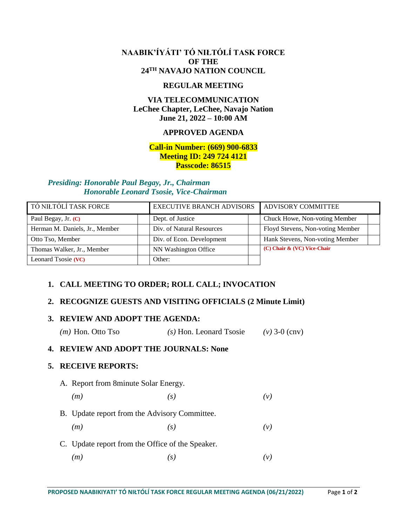### **NAABIK'ÍYÁTI' TÓ NIŁTÓLÍ TASK FORCE OF THE 24TH NAVAJO NATION COUNCIL**

#### **REGULAR MEETING**

# **VIA TELECOMMUNICATION LeChee Chapter, LeChee, Navajo Nation June 21, 2022 – 10:00 AM**

# **APPROVED AGENDA**

### **Call-in Number: (669) 900-6833 Meeting ID: 249 724 4121 Passcode: 86515**

#### *Presiding: Honorable Paul Begay, Jr., Chairman Honorable Leonard Tsosie, Vice-Chairman*

| TÓ NIŁTÓLÍ TASK FORCE          | <b>EXECUTIVE BRANCH ADVISORS</b> | ADVISORY COMMITTEE               |  |
|--------------------------------|----------------------------------|----------------------------------|--|
| Paul Begay, Jr. (C)            | Dept. of Justice                 | Chuck Howe, Non-voting Member    |  |
| Herman M. Daniels, Jr., Member | Div. of Natural Resources        | Floyd Stevens, Non-voting Member |  |
| Otto Tso, Member               | Div. of Econ. Development        | Hank Stevens, Non-voting Member  |  |
| Thomas Walker, Jr., Member     | NN Washington Office             | (C) Chair & (VC) Vice-Chair      |  |
| Leonard Tsosie (VC)            | Other:                           |                                  |  |

# **1. CALL MEETING TO ORDER; ROLL CALL; INVOCATION**

# **2. RECOGNIZE GUESTS AND VISITING OFFICIALS (2 Minute Limit)**

#### **3. REVIEW AND ADOPT THE AGENDA:**

|  |  | $(m)$ Hon. Otto Tso | $(s)$ Hon. Leonard Tsosie | $(v)$ 3-0 (cnv) |
|--|--|---------------------|---------------------------|-----------------|
|--|--|---------------------|---------------------------|-----------------|

#### **4. REVIEW AND ADOPT THE JOURNALS: None**

# **5. RECEIVE REPORTS:**

- A. Report from 8minute Solar Energy.
	- *(m) (s) (v)*
- B. Update report from the Advisory Committee.
	- *(m) (s) (v)*
- C. Update report from the Office of the Speaker. *(m) (s) (v)*